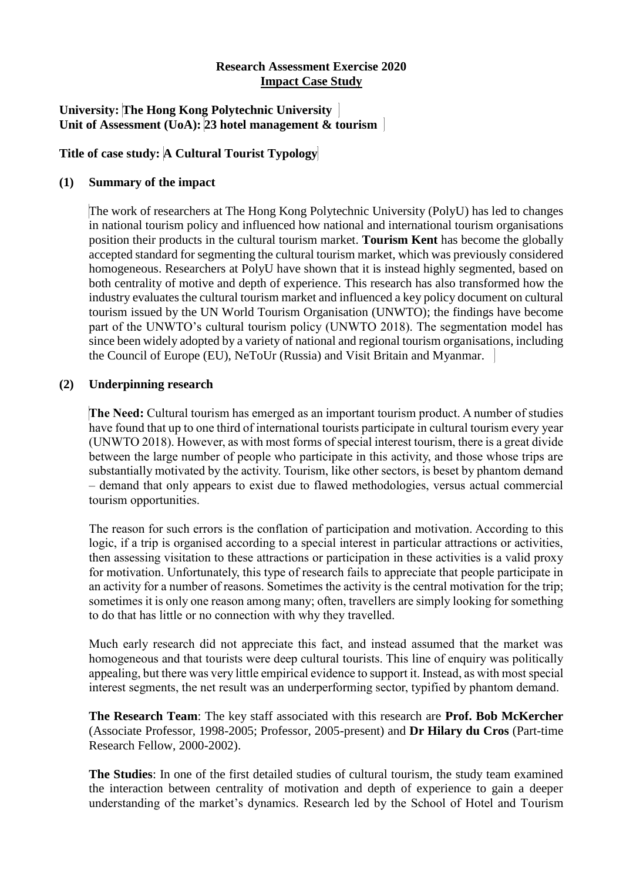## **Research Assessment Exercise 2020 Impact Case Study**

## **University: The Hong Kong Polytechnic University Unit of Assessment (UoA): 23 hotel management & tourism**

## **Title of case study: A Cultural Tourist Typology**

## **(1) Summary of the impact**

The work of researchers at The Hong Kong Polytechnic University (PolyU) has led to changes in national tourism policy and influenced how national and international tourism organisations position their products in the cultural tourism market. **Tourism Kent** has become the globally accepted standard for segmenting the cultural tourism market, which was previously considered homogeneous. Researchers at PolyU have shown that it is instead highly segmented, based on both centrality of motive and depth of experience. This research has also transformed how the industry evaluates the cultural tourism market and influenced a key policy document on cultural tourism issued by the UN World Tourism Organisation (UNWTO); the findings have become part of the UNWTO's cultural tourism policy (UNWTO 2018). The segmentation model has since been widely adopted by a variety of national and regional tourism organisations, including the Council of Europe (EU), NeToUr (Russia) and Visit Britain and Myanmar.

#### **(2) Underpinning research**

**The Need:** Cultural tourism has emerged as an important tourism product. A number of studies have found that up to one third of international tourists participate in cultural tourism every year (UNWTO 2018). However, as with most forms of special interest tourism, there is a great divide between the large number of people who participate in this activity, and those whose trips are substantially motivated by the activity. Tourism, like other sectors, is beset by phantom demand – demand that only appears to exist due to flawed methodologies, versus actual commercial tourism opportunities.

The reason for such errors is the conflation of participation and motivation. According to this logic, if a trip is organised according to a special interest in particular attractions or activities, then assessing visitation to these attractions or participation in these activities is a valid proxy for motivation. Unfortunately, this type of research fails to appreciate that people participate in an activity for a number of reasons. Sometimes the activity is the central motivation for the trip; sometimes it is only one reason among many; often, travellers are simply looking for something to do that has little or no connection with why they travelled.

Much early research did not appreciate this fact, and instead assumed that the market was homogeneous and that tourists were deep cultural tourists. This line of enquiry was politically appealing, but there was very little empirical evidence to support it. Instead, as with most special interest segments, the net result was an underperforming sector, typified by phantom demand.

**The Research Team**: The key staff associated with this research are **Prof. Bob McKercher** (Associate Professor, 1998-2005; Professor, 2005-present) and **Dr Hilary du Cros** (Part-time Research Fellow, 2000-2002).

**The Studies**: In one of the first detailed studies of cultural tourism, the study team examined the interaction between centrality of motivation and depth of experience to gain a deeper understanding of the market's dynamics. Research led by the School of Hotel and Tourism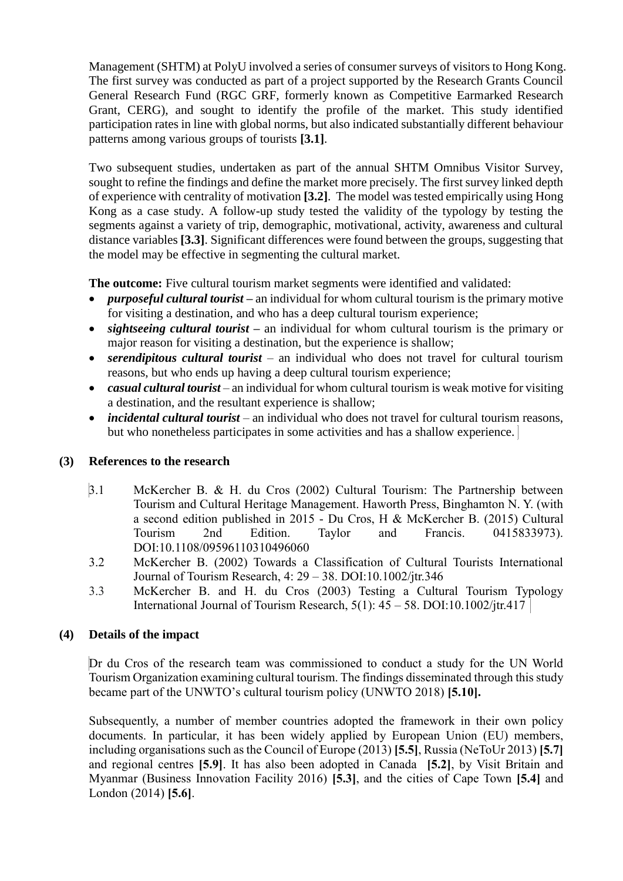Management (SHTM) at PolyU involved a series of consumer surveys of visitors to Hong Kong. The first survey was conducted as part of a project supported by the Research Grants Council General Research Fund (RGC GRF, formerly known as Competitive Earmarked Research Grant, CERG), and sought to identify the profile of the market. This study identified participation rates in line with global norms, but also indicated substantially different behaviour patterns among various groups of tourists **[3.1]**.

Two subsequent studies, undertaken as part of the annual SHTM Omnibus Visitor Survey, sought to refine the findings and define the market more precisely. The first survey linked depth of experience with centrality of motivation **[3.2]**. The model was tested empirically using Hong Kong as a case study. A follow-up study tested the validity of the typology by testing the segments against a variety of trip, demographic, motivational, activity, awareness and cultural distance variables **[3.3]**. Significant differences were found between the groups, suggesting that the model may be effective in segmenting the cultural market.

**The outcome:** Five cultural tourism market segments were identified and validated:

- *purposeful cultural tourist* **–** an individual for whom cultural tourism is the primary motive for visiting a destination, and who has a deep cultural tourism experience;
- *sightseeing cultural tourist* **–** an individual for whom cultural tourism is the primary or major reason for visiting a destination, but the experience is shallow;
- *serendipitous cultural tourist* an individual who does not travel for cultural tourism reasons, but who ends up having a deep cultural tourism experience;
- *casual cultural tourist* an individual for whom cultural tourism is weak motive for visiting a destination, and the resultant experience is shallow;
- *incidental cultural tourist* an individual who does not travel for cultural tourism reasons, but who nonetheless participates in some activities and has a shallow experience.

# **(3) References to the research**

- 3.1 McKercher B. & H. du Cros (2002) Cultural Tourism: The Partnership between Tourism and Cultural Heritage Management. Haworth Press, Binghamton N. Y. (with a second edition published in 2015 - Du Cros, H & McKercher B. (2015) Cultural Tourism 2nd Edition. Taylor and Francis. 0415833973). DOI:10.1108/09596110310496060
- 3.2 McKercher B. (2002) Towards a Classification of Cultural Tourists International Journal of Tourism Research, 4: 29 – 38. DOI:10.1002/jtr.346
- 3.3 McKercher B. and H. du Cros (2003) Testing a Cultural Tourism Typology International Journal of Tourism Research,  $5(1)$ :  $45 - 58$ . DOI:10.1002/jtr.417

# **(4) Details of the impact**

Dr du Cros of the research team was commissioned to conduct a study for the UN World Tourism Organization examining cultural tourism. The findings disseminated through this study became part of the UNWTO's cultural tourism policy (UNWTO 2018) **[5.10].**

Subsequently, a number of member countries adopted the framework in their own policy documents. In particular, it has been widely applied by European Union (EU) members, including organisations such as the Council of Europe (2013) **[5.5]**, Russia (NeToUr 2013) **[5.7]** and regional centres **[5.9]**. It has also been adopted in Canada **[5.2]**, by Visit Britain and Myanmar (Business Innovation Facility 2016) **[5.3]**, and the cities of Cape Town **[5.4]** and London (2014) **[5.6]**.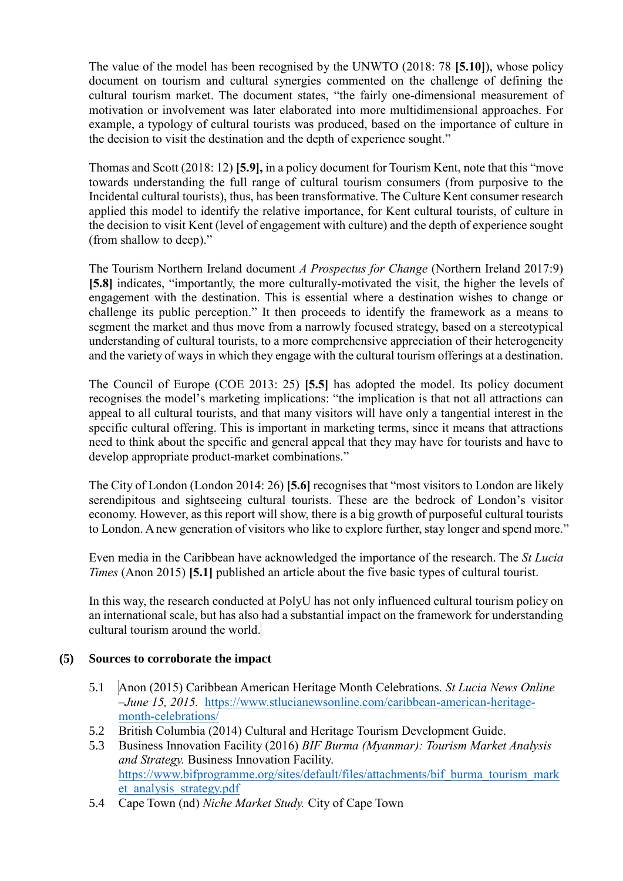The value of the model has been recognised by the UNWTO (2018: 78 **[5.10]**), whose policy document on tourism and cultural synergies commented on the challenge of defining the cultural tourism market. The document states, "the fairly one-dimensional measurement of motivation or involvement was later elaborated into more multidimensional approaches. For example, a typology of cultural tourists was produced, based on the importance of culture in the decision to visit the destination and the depth of experience sought."

Thomas and Scott (2018: 12) **[5.9],** in a policy document for Tourism Kent, note that this "move towards understanding the full range of cultural tourism consumers (from purposive to the Incidental cultural tourists), thus, has been transformative. The Culture Kent consumer research applied this model to identify the relative importance, for Kent cultural tourists, of culture in the decision to visit Kent (level of engagement with culture) and the depth of experience sought (from shallow to deep)."

The Tourism Northern Ireland document *A Prospectus for Change* (Northern Ireland 2017:9) **[5.8]** indicates, "importantly, the more culturally-motivated the visit, the higher the levels of engagement with the destination. This is essential where a destination wishes to change or challenge its public perception." It then proceeds to identify the framework as a means to segment the market and thus move from a narrowly focused strategy, based on a stereotypical understanding of cultural tourists, to a more comprehensive appreciation of their heterogeneity and the variety of ways in which they engage with the cultural tourism offerings at a destination.

The Council of Europe (COE 2013: 25) **[5.5]** has adopted the model. Its policy document recognises the model's marketing implications: "the implication is that not all attractions can appeal to all cultural tourists, and that many visitors will have only a tangential interest in the specific cultural offering. This is important in marketing terms, since it means that attractions need to think about the specific and general appeal that they may have for tourists and have to develop appropriate product-market combinations."

The City of London (London 2014: 26) **[5.6]** recognises that "most visitors to London are likely serendipitous and sightseeing cultural tourists. These are the bedrock of London's visitor economy. However, as this report will show, there is a big growth of purposeful cultural tourists to London. A new generation of visitors who like to explore further, stay longer and spend more."

Even media in the Caribbean have acknowledged the importance of the research. The *St Lucia Times* (Anon 2015) **[5.1]** published an article about the five basic types of cultural tourist.

In this way, the research conducted at PolyU has not only influenced cultural tourism policy on an international scale, but has also had a substantial impact on the framework for understanding cultural tourism around the world.

# **(5) Sources to corroborate the impact**

- 5.1 Anon (2015) Caribbean American Heritage Month Celebrations. *St Lucia News Online –June 15, 2015.* [https://www.stlucianewsonline.com/caribbean-american-heritage](https://www.stlucianewsonline.com/caribbean-american-heritage-month-celebrations/)[month-celebrations/](https://www.stlucianewsonline.com/caribbean-american-heritage-month-celebrations/)
- 5.2 British Columbia (2014) Cultural and Heritage Tourism Development Guide.
- 5.3 Business Innovation Facility (2016) *BIF Burma (Myanmar): Tourism Market Analysis and Strategy.* Business Innovation Facility. [https://www.bifprogramme.org/sites/default/files/attachments/bif\\_burma\\_tourism\\_mark](https://www.bifprogramme.org/sites/default/files/attachments/bif_burma_tourism_market_analysis_strategy.pdf) [et\\_analysis\\_strategy.pdf](https://www.bifprogramme.org/sites/default/files/attachments/bif_burma_tourism_market_analysis_strategy.pdf)
- 5.4 Cape Town (nd) *Niche Market Study.* City of Cape Town